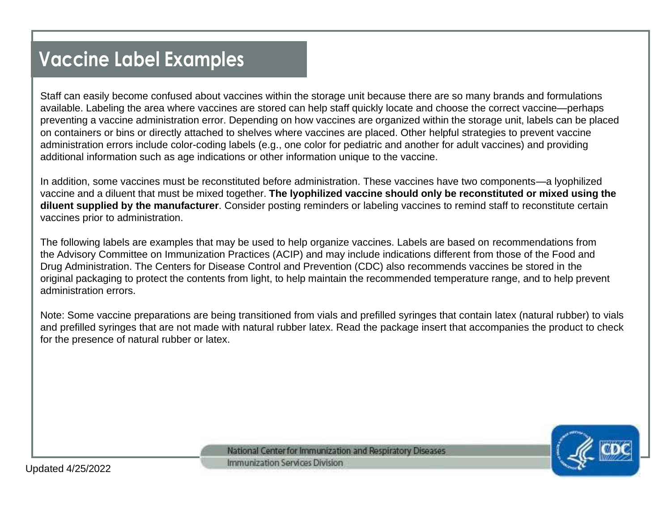# **Vaccine Label Examples**

Staff can easily become confused about vaccines within the storage unit because there are so many brands and formulations available. Labeling the area where vaccines are stored can help staff quickly locate and choose the correct vaccine—perhaps preventing a vaccine administration error. Depending on how vaccines are organized within the storage unit, labels can be placed on containers or bins or directly attached to shelves where vaccines are placed. Other helpful strategies to prevent vaccine administration errors include color-coding labels (e.g., one color for pediatric and another for adult vaccines) and providing additional information such as age indications or other information unique to the vaccine.

In addition, some vaccines must be reconstituted before administration. These vaccines have two components—a lyophilized vaccine and a diluent that must be mixed together. **The lyophilized vaccine should only be reconstituted or mixed using the diluent supplied by the manufacturer**. Consider posting reminders or labeling vaccines to remind staff to reconstitute certain vaccines prior to administration.

The following labels are examples that may be used to help organize vaccines. Labels are based on recommendations from the Advisory Committee on Immunization Practices (ACIP) and may include indications different from those of the Food and Drug Administration. The Centers for Disease Control and Prevention (CDC) also recommends vaccines be stored in the original packaging to protect the contents from light, to help maintain the recommended temperature range, and to help prevent administration errors.

Note: Some vaccine preparations are being transitioned from vials and prefilled syringes that contain latex (natural rubber) to vials and prefilled syringes that are not made with natural rubber latex. Read the package insert that accompanies the product to check for the presence of natural rubber or latex.



National Center for Immunization and Respiratory Diseases Immunization Services Division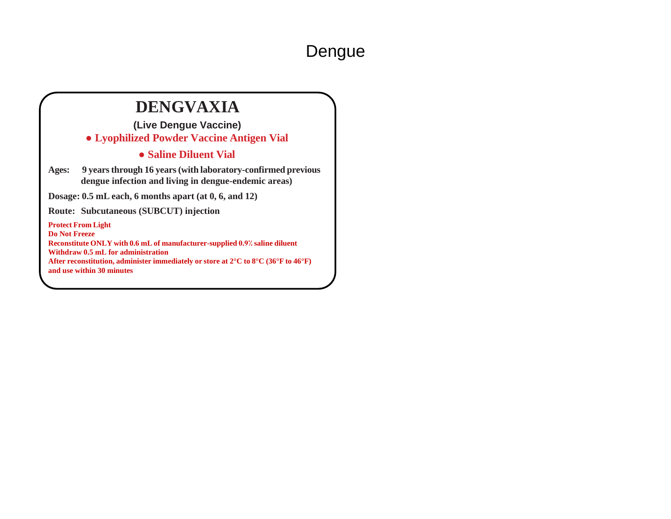#### Dengue

#### **DENGVAXIA**

**(Live Dengue Vaccine) ● Lyophilized Powder Vaccine Antigen Vial**

#### **● Saline Diluent Vial**

**Ages: 9 years through 16 years (with laboratory-confirmed previous dengue infection and living in dengue-endemic areas)**

**Dosage: 0.5 mL each, 6 months apart (at 0, 6, and 12)** 

**Route: Subcutaneous (SUBCUT) injection**

**Protect From Light** 

**Do Not Freeze Reconstitute ONLY with 0.6 mL of manufacturer-supplied 0.9⁒ saline diluent Withdraw 0.5 mL for administration After reconstitution, administer immediately or store at 2°C to 8°C (36°F to 46°F) and use within 30 minutes**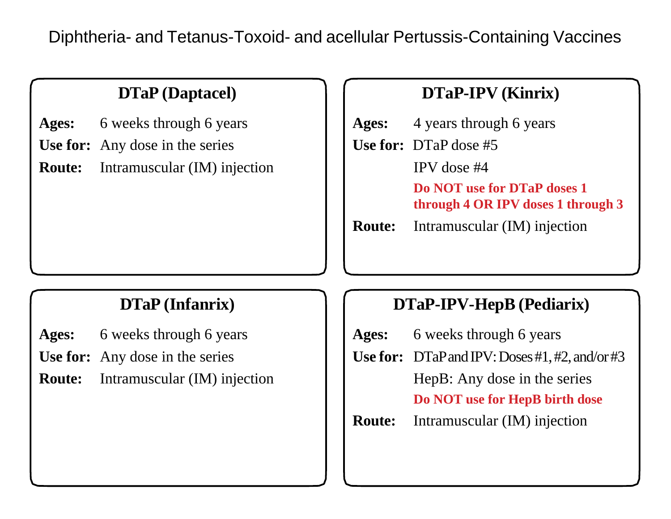Diphtheria- and Tetanus-Toxoid- and acellular Pertussis-Containing Vaccines

# **DTaP (Daptacel)**

**Ages:** 6 weeks through 6 years

**Use for:** Any dose in the series

**Route:** Intramuscular (IM) injection

## **DTaP-IPV (Kinrix)**

**Ages:** 4 years through 6 years

**Use for:** DTaP dose #5

IPV dose #4

**Do NOT use for DTaP doses 1 through 4 OR IPV doses 1 through 3**

**Route:** Intramuscular (IM) injection

- **Ages:** 6 weeks through 6 years
- **Use for:** Any dose in the series
- **Route:** Intramuscular (IM) injection

## **DTaP (Infanrix) DTaP-IPV-HepB (Pediarix)**

| Ages:         | 6 weeks through 6 years                                  |
|---------------|----------------------------------------------------------|
|               | <b>Use for:</b> $DTaP$ and $IPV: Does #1, #2, and/or #3$ |
|               | HepB: Any dose in the series                             |
|               | Do NOT use for HepB birth dose                           |
| <b>Route:</b> | Intramuscular (IM) injection                             |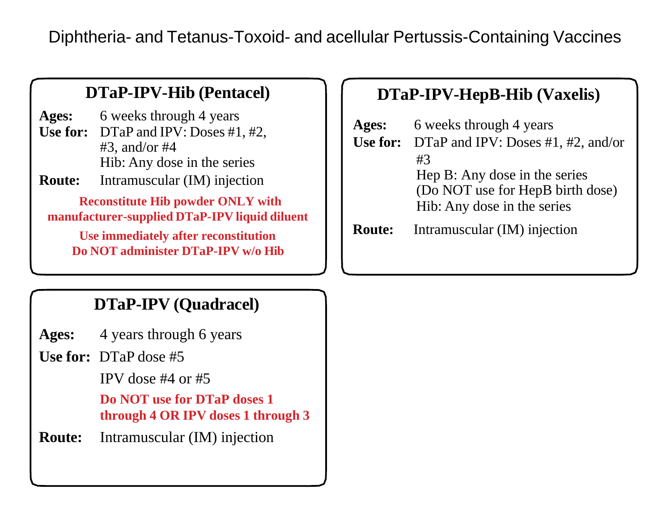Diphtheria- and Tetanus-Toxoid- and acellular Pertussis-Containing Vaccines

#### **DTaP-IPV-Hib (Pentacel)**

**Ages:** 6 weeks through 4 years Use for: DTaP and IPV: Doses #1, #2, #3, and/or #4 Hib: Any dose in the series

**Route:** Intramuscular (IM) injection

**Reconstitute Hib powder ONLY with manufacturer-supplied DTaP-IPV liquid diluent**

**Use immediately after reconstitution Do NOT administer DTaP-IPV w/o Hib**

## **DTaP-IPV-HepB-Hib (Vaxelis)**

| Ages:         | 6 weeks through 4 years                       |
|---------------|-----------------------------------------------|
|               | Use for: $DTaP$ and IPV: Doses #1, #2, and/or |
|               | #3                                            |
|               | Hep B: Any dose in the series                 |
|               | (Do NOT use for HepB birth dose)              |
|               | Hib: Any dose in the series                   |
| <b>Route:</b> | Intramuscular (IM) injection                  |

## **DTaP-IPV (Quadracel)**

**Ages:** 4 years through 6 years

**Use for:** DTaP dose #5

IPV dose #4 or #5

**Do NOT use for DTaP doses 1 through 4 OR IPV doses 1 through 3**

**Route:** Intramuscular (IM) injection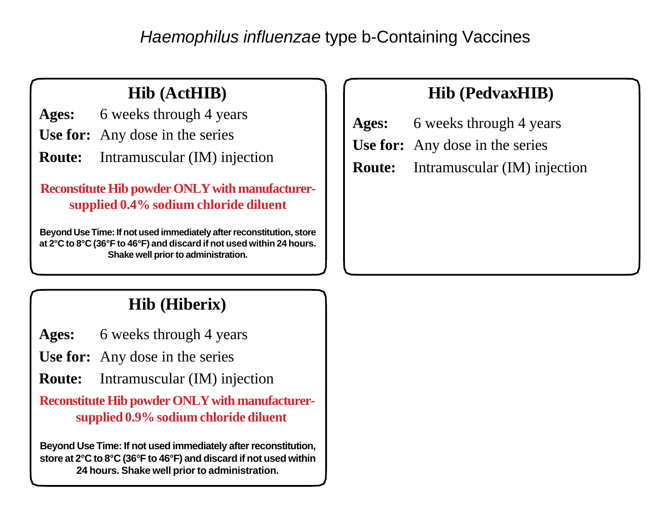*Haemophilus influenzae* type b-Containing Vaccines

## **Hib (ActHIB)**

**Ages:** 6 weeks through 4 years

- **Use for:** Any dose in the series
- **Route:** Intramuscular (IM) injection

**Reconstitute Hib powder ONLY with manufacturersupplied 0.4% sodium chloride diluent**

**Beyond Use Time: If not used immediately after reconstitution, store at 2°C to 8°C (36°F to 46°F) and discard if not used within 24 hours. Shake well prior to administration.** 

#### **Hib (PedvaxHIB)**

- **Ages:** 6 weeks through 4 years
- **Use for:** Any dose in the series
- **Route:** Intramuscular (IM) injection

## **Hib (Hiberix)**

**Ages:** 6 weeks through 4 years

**Use for:** Any dose in the series

**Route:** Intramuscular (IM) injection

**Reconstitute Hib powder ONLY with manufacturersupplied 0.9% sodium chloride diluent**

**Beyond Use Time: If not used immediately after reconstitution, store at 2°C to 8°C (36°F to 46°F) and discard if not used within 24 hours. Shake well prior to administration.**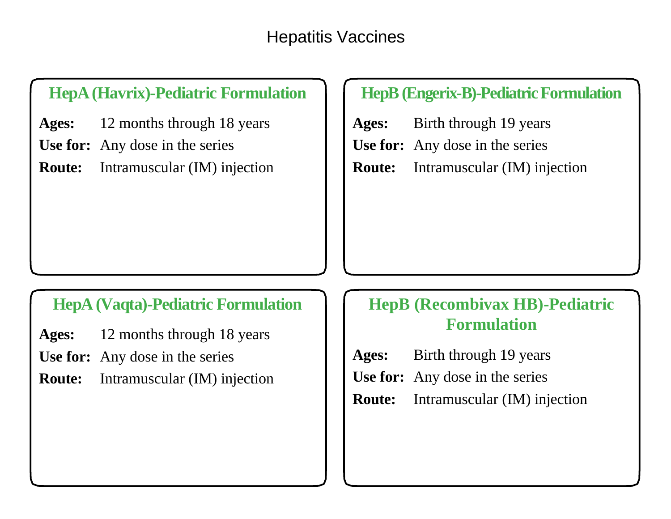#### **HepA (Havrix)-Pediatric Formulation**

- **Ages:** 12 months through 18 years
- **Use for:** Any dose in the series
- **Route:** Intramuscular (IM) injection

#### **HepB (Engerix-B)-Pediatric Formulation**

- **Ages:** Birth through 19 years
- **Use for:** Any dose in the series
- **Route:** Intramuscular (IM) injection

#### **HepA (Vaqta)-Pediatric Formulation**

- **Ages:** 12 months through 18 years
- **Use for:** Any dose in the series
- **Route:** Intramuscular (IM) injection

#### **HepB (Recombivax HB)-Pediatric Formulation**

- **Ages:** Birth through 19 years
- **Use for:** Any dose in the series
- **Route:** Intramuscular (IM) injection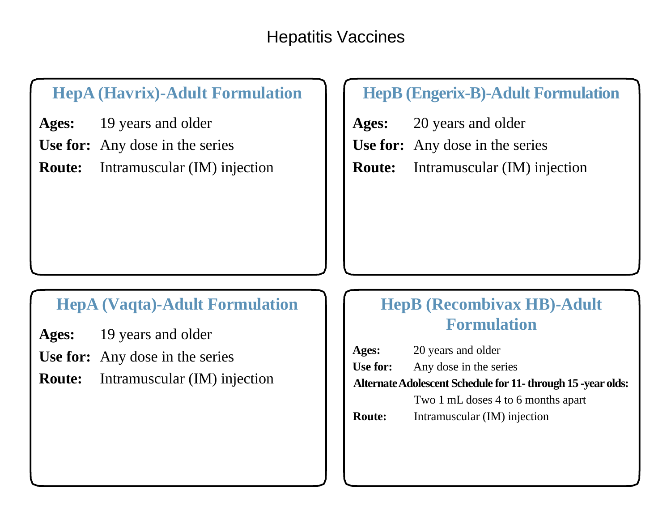## **HepA (Havrix)-Adult Formulation**

**Ages:** 19 years and older

**Use for:** Any dose in the series

**Route:** Intramuscular (IM) injection

#### **HepB (Engerix-B)-Adult Formulation**

- **Ages:** 20 years and older
- **Use for:** Any dose in the series
- **Route:** Intramuscular (IM) injection

#### **HepA (Vaqta)-Adult Formulation**

- **Ages:** 19 years and older
- **Use for:** Any dose in the series
- **Route:** Intramuscular (IM) injection

## **HepB (Recombivax HB)-Adult Formulation**

**Ages:** 20 years and older Use for: Any dose in the series **Alternate Adolescent Schedule for 11- through 15 -year olds:**  Two 1 mL doses 4 to 6 months apart **Route:** Intramuscular (IM) injection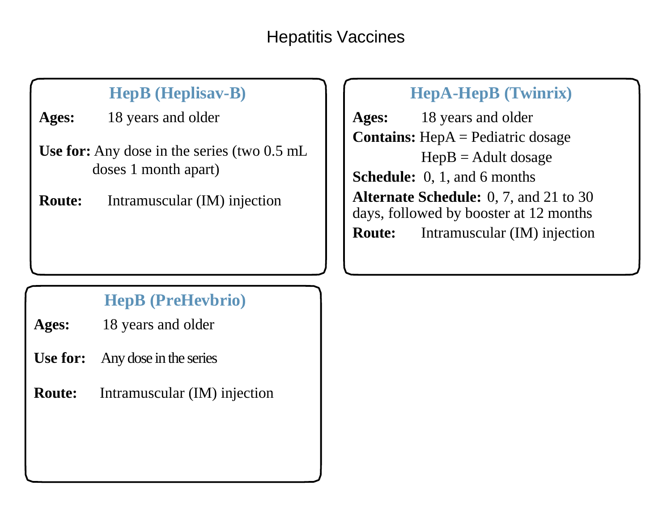## Hepatitis Vaccines

# **HepB (Heplisav-B)**

**Ages:** 18 years and older

- **Use for:** Any dose in the series (two 0.5 mL doses 1 month apart)
- **Route:** Intramuscular (IM) injection

## **HepA-HepB (Twinrix)**

**Ages:** 18 years and older **Contains:** HepA = Pediatric dosage  $HepB =$  Adult dosage **Schedule:** 0, 1, and 6 months **Alternate Schedule:** 0, 7, and 21 to 30 days, followed by booster at 12 months **Route:** Intramuscular (IM) injection

# **HepB (PreHevbrio)**

- **Ages:** 18 years and older
- **Use for:** Any dose in the series
- **Route:** Intramuscular (IM) injection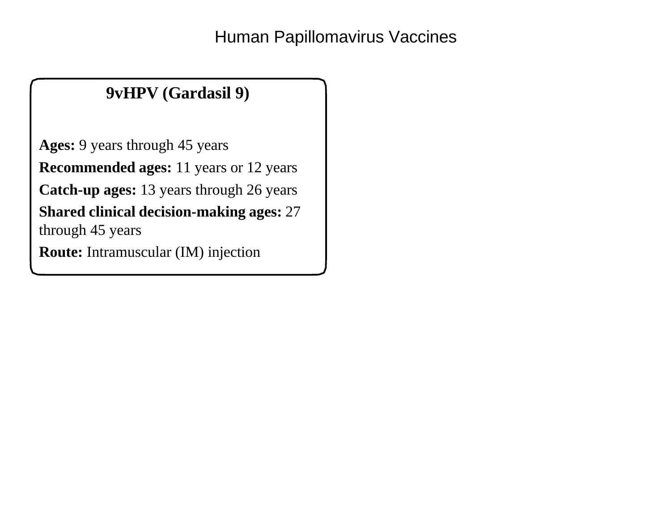# **9vHPV (Gardasil 9)**

**Ages:** 9 years through 45 years **Recommended ages:** 11 years or 12 years **Catch-up ages:** 13 years through 26 years **Shared clinical decision-making ages:** 27 through 45 years

**Route:** Intramuscular (IM) injection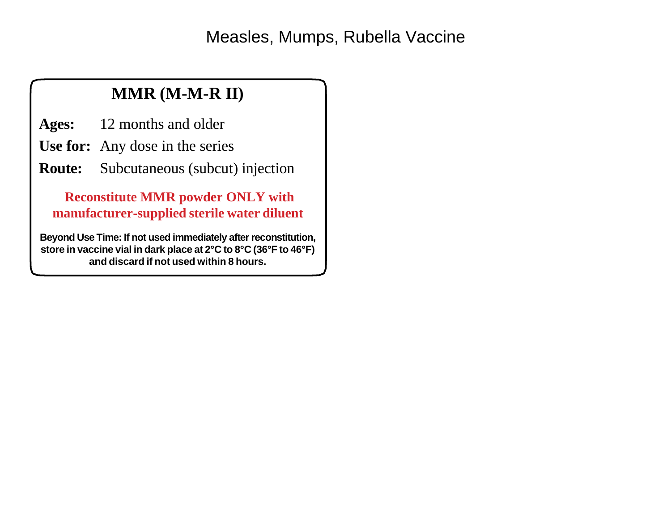Measles, Mumps, Rubella Vaccine

## **MMR (M-M-R II)**

**Ages:** 12 months and older

- **Use for:** Any dose in the series
- **Route:** Subcutaneous (subcut) injection

**Reconstitute MMR powder ONLY with manufacturer-supplied sterile water diluent**

**Beyond Use Time: If not used immediately after reconstitution, store in vaccine vial in dark place at 2°C to 8°C (36°F to 46°F) and discard if not used within 8 hours.**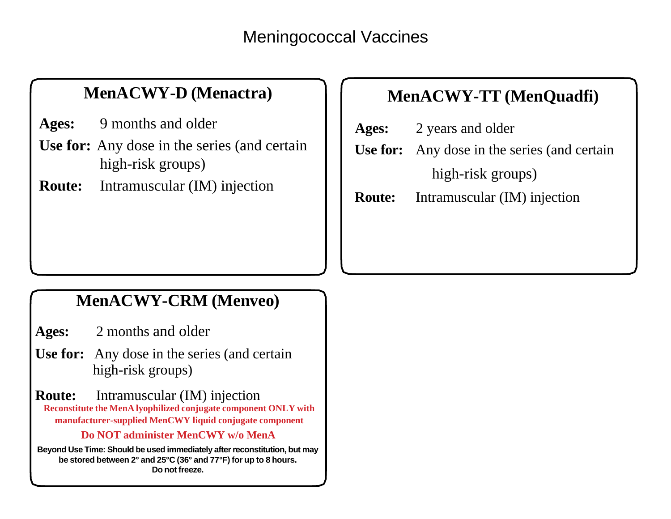#### **MenACWY-D (Menactra)**

**Ages:** 9 months and older

- **Use for:** Any dose in the series (and certain high-risk groups)
- **Route:** Intramuscular (IM) injection

# **MenACWY-TT (MenQuadfi)**

- **Ages:** 2 years and older
- **Use for:** Any dose in the series (and certain high-risk groups)

**Route:** Intramuscular (IM) injection

#### **MenACWY-CRM (Menveo)**

**Ages:** 2 months and older

**Use for:** Any dose in the series (and certain high-risk groups)

**Route:** Intramuscular (IM) injection **Reconstitute the MenA lyophilized conjugate component ONLY with manufacturer-supplied MenCWY liquid conjugate component**

#### **Do NOT administer MenCWY w/o MenA**

**Beyond Use Time: Should be used immediately after reconstitution, but may be stored between 2° and 25°C (36° and 77°F) for up to 8 hours. Do not freeze.**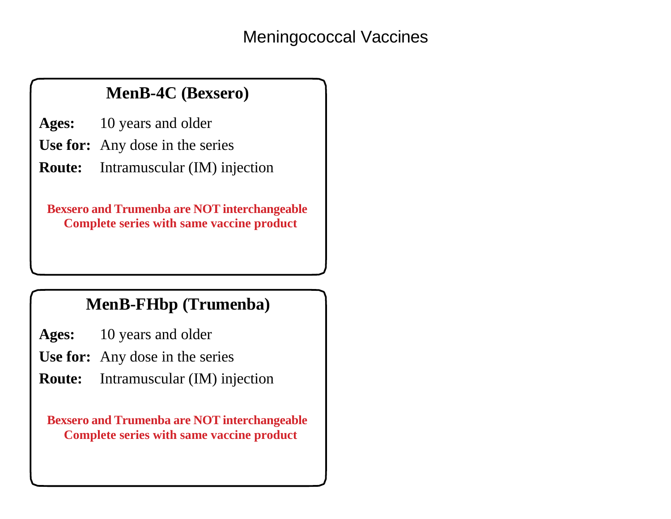## **MenB-4C (Bexsero)**

**Ages:** 10 years and older

**Use for:** Any dose in the series

**Route:** Intramuscular (IM) injection

**Bexsero and Trumenba are NOT interchangeable Complete series with same vaccine product**

#### **MenB-FHbp (Trumenba)**

- **Ages:** 10 years and older
- **Use for:** Any dose in the series
- **Route:** Intramuscular (IM) injection

**Bexsero and Trumenba are NOT interchangeable Complete series with same vaccine product**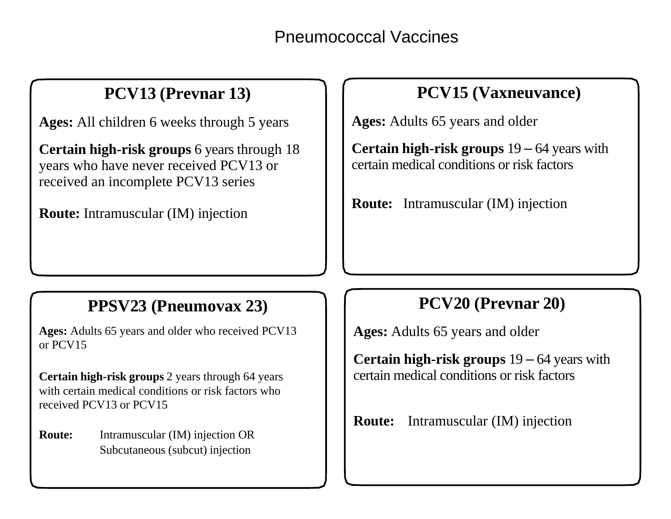Pneumococcal Vaccines

#### **PCV13 (Prevnar 13)**

**Ages:** All children 6 weeks through 5 years

**Certain high-risk groups** 6 years through 18 years who have never received PCV13 or received an incomplete PCV13 series

**Route:** Intramuscular (IM) injection

## **PCV15 (Vaxneuvance)**

**Ages:** Adults 65 years and older

**Certain high-risk groups** 19 – 64 years with certain medical conditions or risk factors

**Route:** Intramuscular (IM) injection

#### **PPSV23 (Pneumovax 23)**

**Ages:** Adults 65 years and older who received PCV13 or PCV15

**Certain high-risk groups** 2 years through 64 years with certain medical conditions or risk factors who received PCV13 or PCV15

**Route:** Intramuscular (IM) injection OR Subcutaneous (subcut) injection

#### **PCV20 (Prevnar 20)**

**Ages:** Adults 65 years and older

**Certain high-risk groups** 19 – 64 years with certain medical conditions or risk factors

**Route:** Intramuscular (IM) injection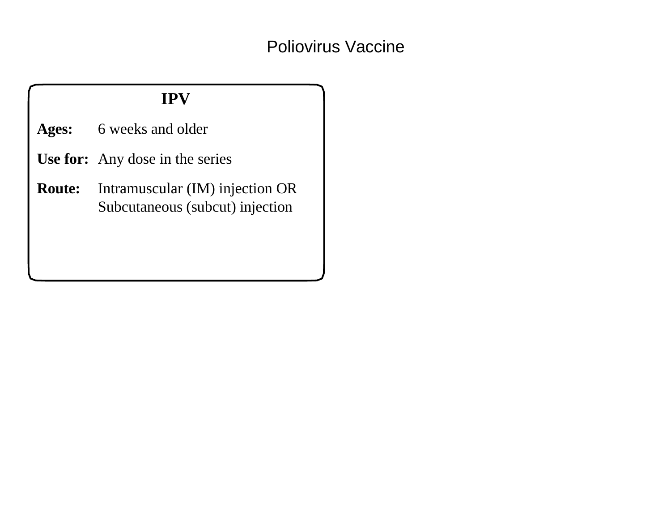#### **IPV**

**Ages:** 6 weeks and older

- **Use for:** Any dose in the series
- **Route:** Intramuscular (IM) injection OR Subcutaneous (subcut) injection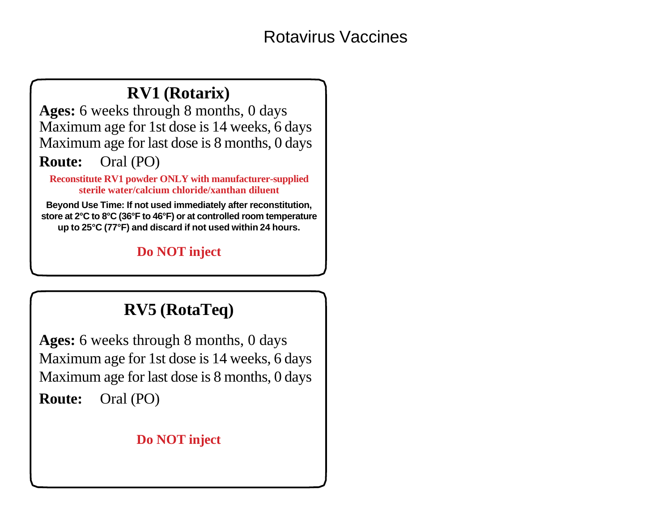#### **RV1 (Rotarix)**

**Ages:** 6 weeks through 8 months, 0 days Maximum age for 1st dose is 14 weeks, 6 days Maximum age for last dose is 8 months, 0 days

#### **Route:** Oral (PO)

**Reconstitute RV1 powder ONLY with manufacturer-supplied sterile water/calcium chloride/xanthan diluent**

**Beyond Use Time: If not used immediately after reconstitution, store at 2°C to 8°C (36°F to 46°F) or at controlled room temperature up to 25°C (77°F) and discard if not used within 24 hours.** 

#### **Do NOT inject**

#### **RV5 (RotaTeq)**

**Ages:** 6 weeks through 8 months, 0 days Maximum age for 1st dose is 14 weeks, 6 days Maximum age for last dose is 8 months, 0 days **Route:** Oral (PO)

#### **Do NOT inject**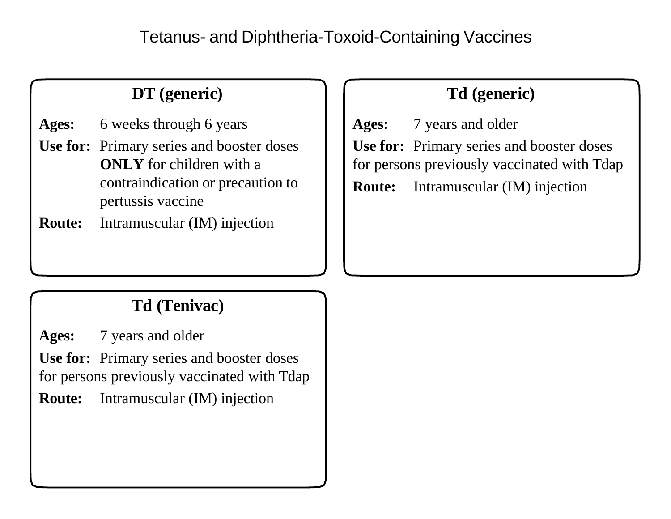Tetanus- and Diphtheria-Toxoid-Containing Vaccines

# **DT (generic)**

**Ages:** 6 weeks through 6 years

**Use for:** Primary series and booster doses **ONLY** for children with a contraindication or precaution to pertussis vaccine

**Route:** Intramuscular (IM) injection

#### **Td (generic)**

**Ages:** 7 years and older **Use for:** Primary series and booster doses for persons previously vaccinated with Tdap **Route:** Intramuscular (IM) injection

## **Td (Tenivac)**

**Ages:** 7 years and older

**Use for:** Primary series and booster doses for persons previously vaccinated with Tdap

**Route:** Intramuscular (IM) injection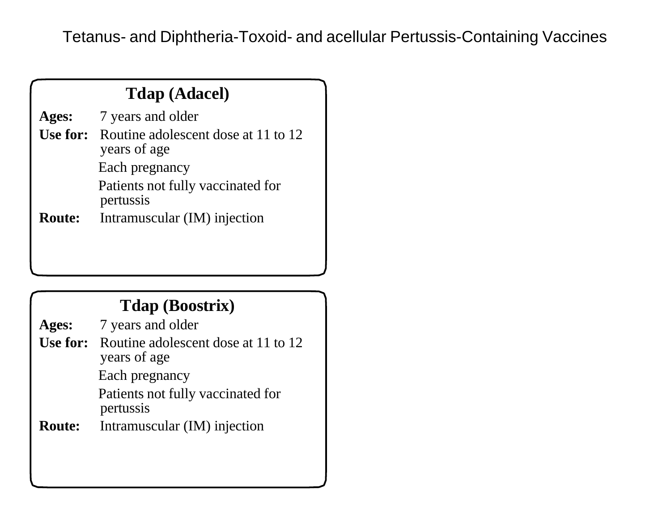Tetanus- and Diphtheria-Toxoid- and acellular Pertussis-Containing Vaccines

|               | <b>Tdap (Adacel)</b>                                                |
|---------------|---------------------------------------------------------------------|
| Ages:         | 7 years and older                                                   |
|               | <b>Use for:</b> Routine adolescent dose at 11 to 12<br>years of age |
|               | Each pregnancy                                                      |
|               | Patients not fully vaccinated for<br>pertussis                      |
| <b>Route:</b> | Intramuscular (IM) injection                                        |
|               |                                                                     |

#### **Tdap (Boostrix)**

- **Ages:** 7 years and older **Use for:** Routine adolescent dose at 11 to 12 years of age Each pregnancy Patients not fully vaccinated for pertussis
- **Route:** Intramuscular (IM) injection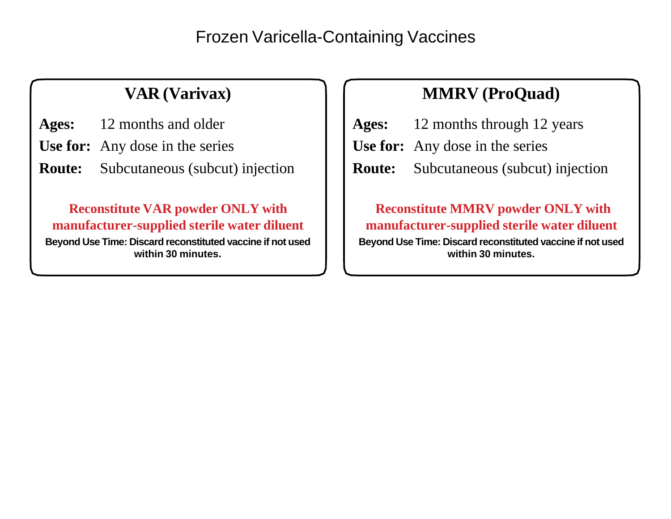#### Frozen Varicella-Containing Vaccines

# **VAR (Varivax)**

**Ages:** 12 months and older

- **Use for:** Any dose in the series
- **Route:** Subcutaneous (subcut) injection

#### **Reconstitute VAR powder ONLY with manufacturer-supplied sterile water diluent**

**Beyond Use Time: Discard reconstituted vaccine if not used within 30 minutes.** 

# **MMRV (ProQuad)**

- **Ages:** 12 months through 12 years
- **Use for:** Any dose in the series
- **Route:** Subcutaneous (subcut) injection

#### **Reconstitute MMRV powder ONLY with manufacturer-supplied sterile water diluent Beyond Use Time: Discard reconstituted vaccine if not used**

**within 30 minutes.**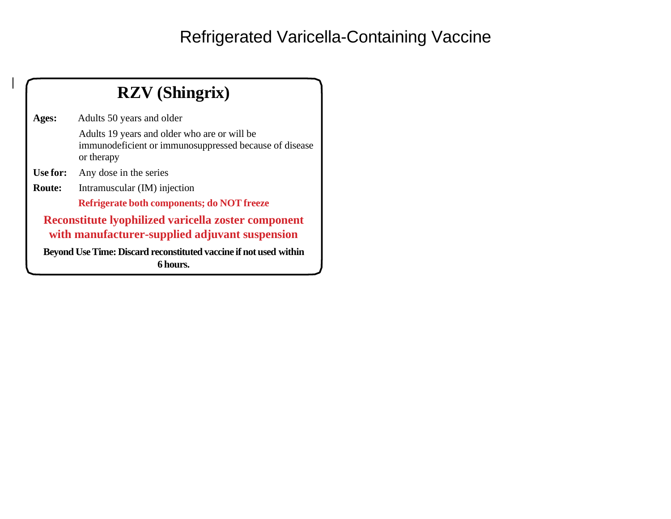# Refrigerated Varicella-Containing Vaccine

| <b>RZV</b> (Shingrix)                                                                                        |                                                                                                                      |  |
|--------------------------------------------------------------------------------------------------------------|----------------------------------------------------------------------------------------------------------------------|--|
| Ages:                                                                                                        | Adults 50 years and older                                                                                            |  |
|                                                                                                              | Adults 19 years and older who are or will be<br>immunodeficient or immunosuppressed because of disease<br>or therapy |  |
| Use for:                                                                                                     | Any dose in the series                                                                                               |  |
| Route:                                                                                                       | Intramuscular (IM) injection                                                                                         |  |
|                                                                                                              | Refrigerate both components; do NOT freeze                                                                           |  |
| <b>Reconstitute lyophilized varicella zoster component</b><br>with manufacturer-supplied adjuvant suspension |                                                                                                                      |  |
| Beyond Use Time: Discard reconstituted vaccine if not used within<br>6 hours.                                |                                                                                                                      |  |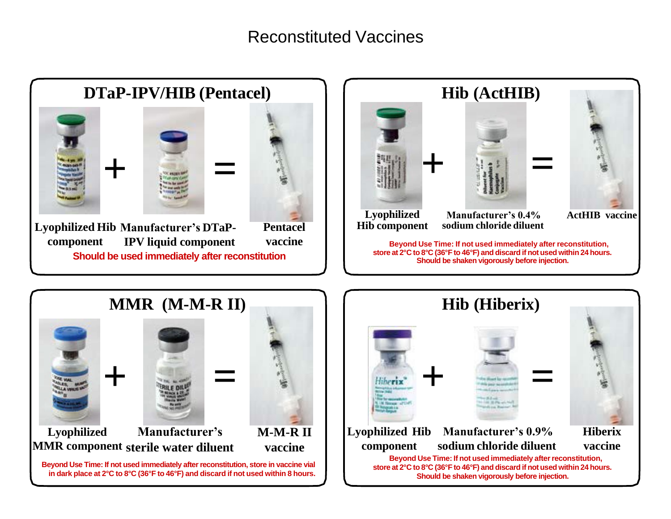#### Reconstituted Vaccines



**+ = Lyophilized Manufacturer's MMR component sterile water diluent M-M-R II vaccine Beyond Use Time: If not used immediately after reconstitution, store in vaccine vial in dark place at 2°C to 8°C (36°F to 46°F) and discard if not used within 8 hours.**

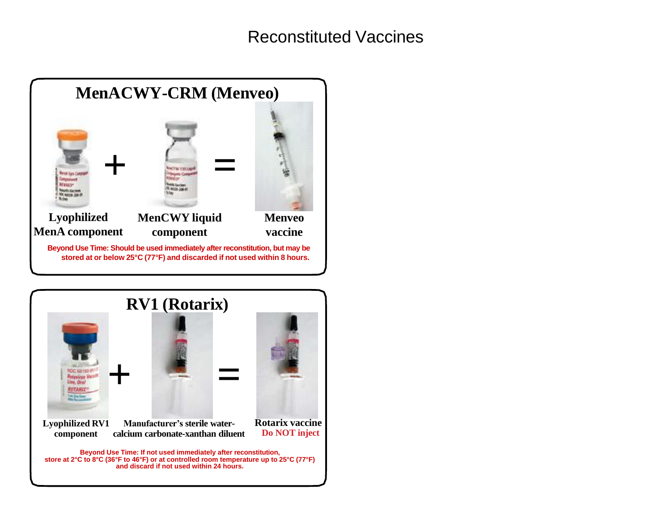